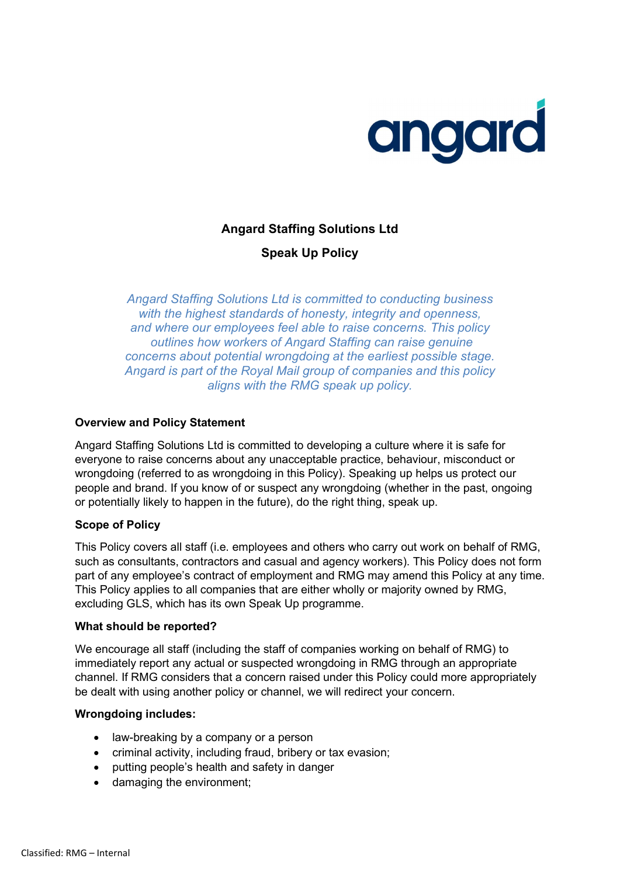

# Angard Staffing Solutions Ltd

Speak Up Policy

Angard Staffing Solutions Ltd is committed to conducting business with the highest standards of honesty, integrity and openness, and where our employees feel able to raise concerns. This policy outlines how workers of Angard Staffing can raise genuine concerns about potential wrongdoing at the earliest possible stage. Angard is part of the Royal Mail group of companies and this policy aligns with the RMG speak up policy.

## Overview and Policy Statement

Angard Staffing Solutions Ltd is committed to developing a culture where it is safe for everyone to raise concerns about any unacceptable practice, behaviour, misconduct or wrongdoing (referred to as wrongdoing in this Policy). Speaking up helps us protect our people and brand. If you know of or suspect any wrongdoing (whether in the past, ongoing or potentially likely to happen in the future), do the right thing, speak up.

### Scope of Policy

This Policy covers all staff (i.e. employees and others who carry out work on behalf of RMG, such as consultants, contractors and casual and agency workers). This Policy does not form part of any employee's contract of employment and RMG may amend this Policy at any time. This Policy applies to all companies that are either wholly or majority owned by RMG, excluding GLS, which has its own Speak Up programme.

### What should be reported?

We encourage all staff (including the staff of companies working on behalf of RMG) to immediately report any actual or suspected wrongdoing in RMG through an appropriate channel. If RMG considers that a concern raised under this Policy could more appropriately be dealt with using another policy or channel, we will redirect your concern.

### Wrongdoing includes:

- law-breaking by a company or a person
- criminal activity, including fraud, bribery or tax evasion;
- putting people's health and safety in danger
- damaging the environment;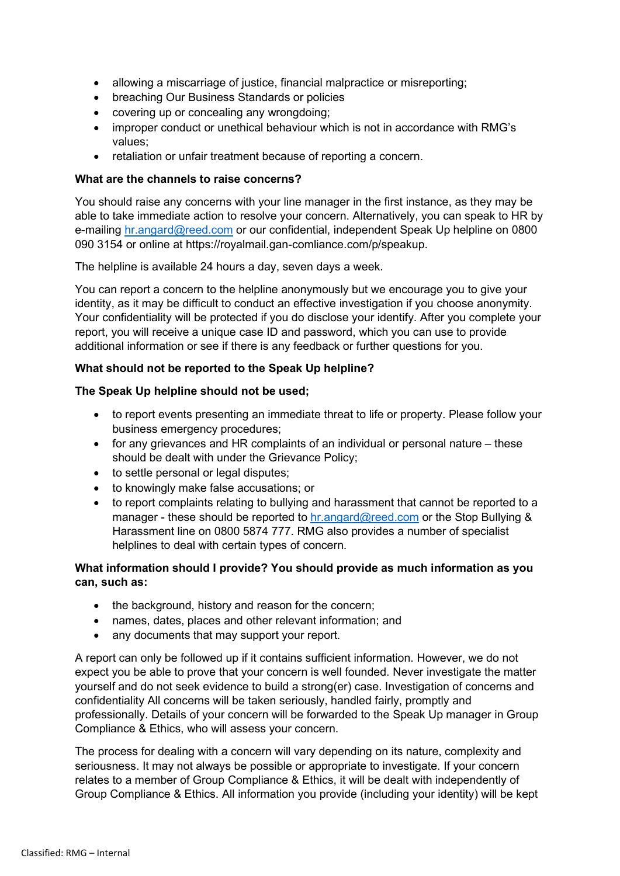- allowing a miscarriage of justice, financial malpractice or misreporting;
- breaching Our Business Standards or policies
- covering up or concealing any wrongdoing;
- improper conduct or unethical behaviour which is not in accordance with RMG's values;
- retaliation or unfair treatment because of reporting a concern.

### What are the channels to raise concerns?

You should raise any concerns with your line manager in the first instance, as they may be able to take immediate action to resolve your concern. Alternatively, you can speak to HR by e-mailing hr.angard@reed.com or our confidential, independent Speak Up helpline on 0800 090 3154 or online at https://royalmail.gan-comliance.com/p/speakup.

The helpline is available 24 hours a day, seven days a week.

You can report a concern to the helpline anonymously but we encourage you to give your identity, as it may be difficult to conduct an effective investigation if you choose anonymity. Your confidentiality will be protected if you do disclose your identify. After you complete your report, you will receive a unique case ID and password, which you can use to provide additional information or see if there is any feedback or further questions for you.

## What should not be reported to the Speak Up helpline?

## The Speak Up helpline should not be used;

- to report events presenting an immediate threat to life or property. Please follow your business emergency procedures;
- for any grievances and HR complaints of an individual or personal nature these should be dealt with under the Grievance Policy;
- to settle personal or legal disputes:
- to knowingly make false accusations; or
- to report complaints relating to bullying and harassment that cannot be reported to a manager - these should be reported to hr.angard@reed.com or the Stop Bullying & Harassment line on 0800 5874 777. RMG also provides a number of specialist helplines to deal with certain types of concern.

## What information should I provide? You should provide as much information as you can, such as:

- the background, history and reason for the concern;
- names, dates, places and other relevant information; and
- any documents that may support your report.

A report can only be followed up if it contains sufficient information. However, we do not expect you be able to prove that your concern is well founded. Never investigate the matter yourself and do not seek evidence to build a strong(er) case. Investigation of concerns and confidentiality All concerns will be taken seriously, handled fairly, promptly and professionally. Details of your concern will be forwarded to the Speak Up manager in Group Compliance & Ethics, who will assess your concern.

The process for dealing with a concern will vary depending on its nature, complexity and seriousness. It may not always be possible or appropriate to investigate. If your concern relates to a member of Group Compliance & Ethics, it will be dealt with independently of Group Compliance & Ethics. All information you provide (including your identity) will be kept